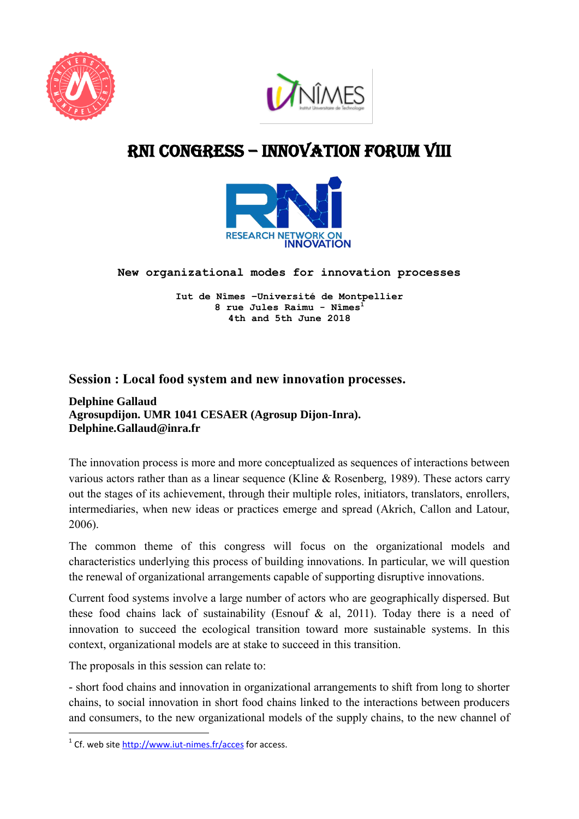



# RNI cONGRESS – innovation Forum VIII



**New organizational modes for innovation processes** 

**Iut de Nîmes –Université de Montpellier 8 rue Jules Raimu - Nîmes<sup>1</sup> 4th and 5th June 2018**

## **Session : Local food system and new innovation processes.**

#### **Delphine Gallaud Agrosupdijon. UMR 1041 CESAER (Agrosup Dijon-Inra). Delphine.Gallaud@inra.fr**

The innovation process is more and more conceptualized as sequences of interactions between various actors rather than as a linear sequence (Kline & Rosenberg, 1989). These actors carry out the stages of its achievement, through their multiple roles, initiators, translators, enrollers, intermediaries, when new ideas or practices emerge and spread (Akrich, Callon and Latour, 2006).

The common theme of this congress will focus on the organizational models and characteristics underlying this process of building innovations. In particular, we will question the renewal of organizational arrangements capable of supporting disruptive innovations.

Current food systems involve a large number of actors who are geographically dispersed. But these food chains lack of sustainability (Esnouf  $\&$  al, 2011). Today there is a need of innovation to succeed the ecological transition toward more sustainable systems. In this context, organizational models are at stake to succeed in this transition.

The proposals in this session can relate to:

**.** 

- short food chains and innovation in organizational arrangements to shift from long to shorter chains, to social innovation in short food chains linked to the interactions between producers and consumers, to the new organizational models of the supply chains, to the new channel of

<sup>&</sup>lt;sup>1</sup> Cf. web site<http://www.iut-nimes.fr/acces> for access.